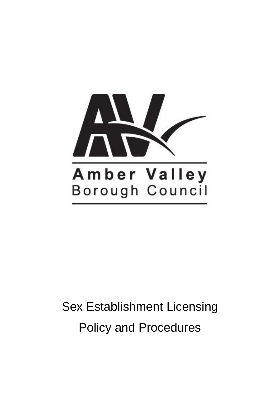

# Sex Establishment Licensing Policy and Procedures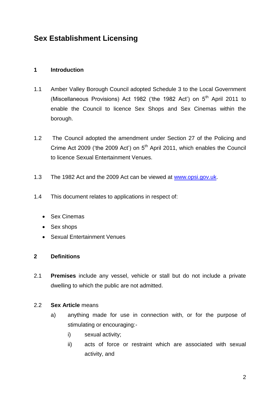# **Sex Establishment Licensing**

### **1 Introduction**

- 1.1 Amber Valley Borough Council adopted Schedule 3 to the Local Government (Miscellaneous Provisions) Act 1982 ('the 1982 Act') on  $5<sup>th</sup>$  April 2011 to enable the Council to licence Sex Shops and Sex Cinemas within the borough.
- 1.2 The Council adopted the amendment under Section 27 of the Policing and Crime Act 2009 ('the 2009 Act') on  $5<sup>th</sup>$  April 2011, which enables the Council to licence Sexual Entertainment Venues.
- 1.3 The 1982 Act and the 2009 Act can be viewed at [www.opsi.gov.uk.](http://www.opsi.gov.uk/)
- 1.4 This document relates to applications in respect of:
	- Sex Cinemas
	- Sex shops
	- Sexual Entertainment Venues

### **2 Definitions**

2.1 **Premises** include any vessel, vehicle or stall but do not include a private dwelling to which the public are not admitted.

### 2.2 **Sex Article** means

- a) anything made for use in connection with, or for the purpose of stimulating or encouraging:
	- i) sexual activity;
	- ii) acts of force or restraint which are associated with sexual activity, and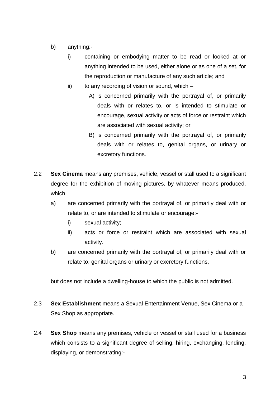- b) anything:
	- i) containing or embodying matter to be read or looked at or anything intended to be used, either alone or as one of a set, for the reproduction or manufacture of any such article; and
	- ii) to any recording of vision or sound, which
		- A) is concerned primarily with the portrayal of, or primarily deals with or relates to, or is intended to stimulate or encourage, sexual activity or acts of force or restraint which are associated with sexual activity; or
		- B) is concerned primarily with the portrayal of, or primarily deals with or relates to, genital organs, or urinary or excretory functions.
- 2.2 **Sex Cinema** means any premises, vehicle, vessel or stall used to a significant degree for the exhibition of moving pictures, by whatever means produced, which
	- a) are concerned primarily with the portrayal of, or primarily deal with or relate to, or are intended to stimulate or encourage:
		- i) sexual activity;
		- ii) acts or force or restraint which are associated with sexual activity.
	- b) are concerned primarily with the portrayal of, or primarily deal with or relate to, genital organs or urinary or excretory functions,

but does not include a dwelling-house to which the public is not admitted.

- 2.3 **Sex Establishment** means a Sexual Entertainment Venue, Sex Cinema or a Sex Shop as appropriate.
- 2.4 **Sex Shop** means any premises, vehicle or vessel or stall used for a business which consists to a significant degree of selling, hiring, exchanging, lending, displaying, or demonstrating:-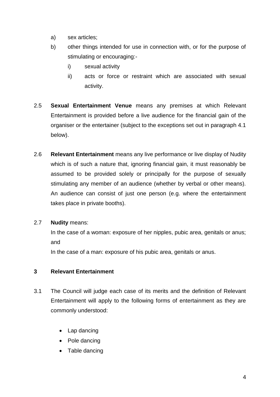- a) sex articles;
- b) other things intended for use in connection with, or for the purpose of stimulating or encouraging:
	- i) sexual activity
	- ii) acts or force or restraint which are associated with sexual activity.
- 2.5 **Sexual Entertainment Venue** means any premises at which Relevant Entertainment is provided before a live audience for the financial gain of the organiser or the entertainer (subject to the exceptions set out in paragraph 4.1 below).
- 2.6 **Relevant Entertainment** means any live performance or live display of Nudity which is of such a nature that, ignoring financial gain, it must reasonably be assumed to be provided solely or principally for the purpose of sexually stimulating any member of an audience (whether by verbal or other means). An audience can consist of just one person (e.g. where the entertainment takes place in private booths).

# 2.7 **Nudity** means:

In the case of a woman: exposure of her nipples, pubic area, genitals or anus; and

In the case of a man: exposure of his pubic area, genitals or anus.

# **3 Relevant Entertainment**

- 3.1 The Council will judge each case of its merits and the definition of Relevant Entertainment will apply to the following forms of entertainment as they are commonly understood:
	- Lap dancing
	- Pole dancing
	- Table dancing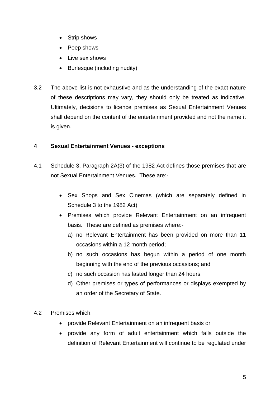- Strip shows
- Peep shows
- Live sex shows
- Burlesque (including nudity)
- 3.2 The above list is not exhaustive and as the understanding of the exact nature of these descriptions may vary, they should only be treated as indicative. Ultimately, decisions to licence premises as Sexual Entertainment Venues shall depend on the content of the entertainment provided and not the name it is given.

# **4 Sexual Entertainment Venues - exceptions**

- 4.1 Schedule 3, Paragraph 2A(3) of the 1982 Act defines those premises that are not Sexual Entertainment Venues. These are:-
	- Sex Shops and Sex Cinemas (which are separately defined in Schedule 3 to the 1982 Act)
	- Premises which provide Relevant Entertainment on an infrequent basis. These are defined as premises where:
		- a) no Relevant Entertainment has been provided on more than 11 occasions within a 12 month period;
		- b) no such occasions has begun within a period of one month beginning with the end of the previous occasions; and
		- c) no such occasion has lasted longer than 24 hours.
		- d) Other premises or types of performances or displays exempted by an order of the Secretary of State.
- 4.2 Premises which:
	- provide Relevant Entertainment on an infrequent basis or
	- provide any form of adult entertainment which falls outside the definition of Relevant Entertainment will continue to be regulated under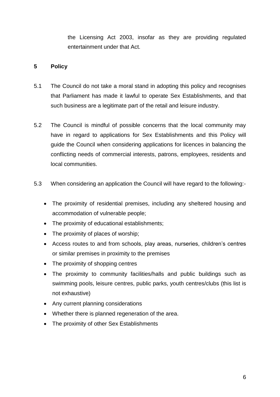the Licensing Act 2003, insofar as they are providing regulated entertainment under that Act.

# **5 Policy**

- 5.1 The Council do not take a moral stand in adopting this policy and recognises that Parliament has made it lawful to operate Sex Establishments, and that such business are a legitimate part of the retail and leisure industry.
- 5.2 The Council is mindful of possible concerns that the local community may have in regard to applications for Sex Establishments and this Policy will guide the Council when considering applications for licences in balancing the conflicting needs of commercial interests, patrons, employees, residents and local communities.
- 5.3 When considering an application the Council will have regard to the following:-
	- The proximity of residential premises, including any sheltered housing and accommodation of vulnerable people;
	- The proximity of educational establishments;
	- The proximity of places of worship;
	- Access routes to and from schools, play areas, nurseries, children's centres or similar premises in proximity to the premises
	- The proximity of shopping centres
	- The proximity to community facilities/halls and public buildings such as swimming pools, leisure centres, public parks, youth centres/clubs (this list is not exhaustive)
	- Any current planning considerations
	- Whether there is planned regeneration of the area.
	- The proximity of other Sex Establishments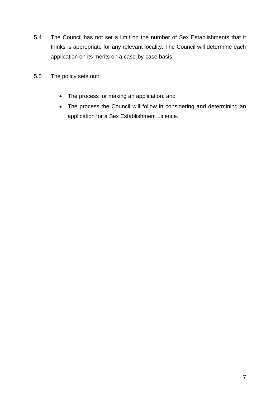- 5.4 The Council has not set a limit on the number of Sex Establishments that it thinks is appropriate for any relevant locality. The Council will determine each application on its merits on a case-by-case basis.
- 5.5 The policy sets out:
	- The process for making an application; and
	- The process the Council will follow in considering and determining an application for a Sex Establishment Licence.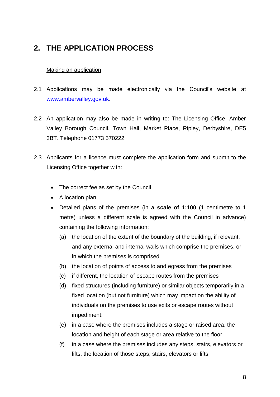# **2. THE APPLICATION PROCESS**

### Making an application

- 2.1 Applications may be made electronically via the Council's website at [www.ambervalley.gov.uk.](http://www.ambervalley.gov.uk/)
- 2.2 An application may also be made in writing to: The Licensing Office, Amber Valley Borough Council, Town Hall, Market Place, Ripley, Derbyshire, DE5 3BT. Telephone 01773 570222.
- 2.3 Applicants for a licence must complete the application form and submit to the Licensing Office together with:
	- The correct fee as set by the Council
	- A location plan
	- Detailed plans of the premises (in a **scale of 1:100** (1 centimetre to 1 metre) unless a different scale is agreed with the Council in advance) containing the following information:
		- (a) the location of the extent of the boundary of the building, if relevant, and any external and internal walls which comprise the premises, or in which the premises is comprised
		- (b) the location of points of access to and egress from the premises
		- (c) if different, the location of escape routes from the premises
		- (d) fixed structures (including furniture) or similar objects temporarily in a fixed location (but not furniture) which may impact on the ability of individuals on the premises to use exits or escape routes without impediment:
		- (e) in a case where the premises includes a stage or raised area, the location and height of each stage or area relative to the floor
		- (f) in a case where the premises includes any steps, stairs, elevators or lifts, the location of those steps, stairs, elevators or lifts.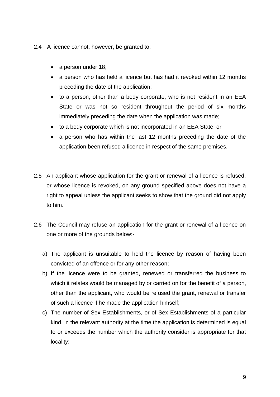- 2.4 A licence cannot, however, be granted to:
	- a person under 18;
	- a person who has held a licence but has had it revoked within 12 months preceding the date of the application;
	- to a person, other than a body corporate, who is not resident in an EEA State or was not so resident throughout the period of six months immediately preceding the date when the application was made;
	- to a body corporate which is not incorporated in an EEA State; or
	- a person who has within the last 12 months preceding the date of the application been refused a licence in respect of the same premises.
- 2.5 An applicant whose application for the grant or renewal of a licence is refused, or whose licence is revoked, on any ground specified above does not have a right to appeal unless the applicant seeks to show that the ground did not apply to him.
- 2.6 The Council may refuse an application for the grant or renewal of a licence on one or more of the grounds below:
	- a) The applicant is unsuitable to hold the licence by reason of having been convicted of an offence or for any other reason;
	- b) If the licence were to be granted, renewed or transferred the business to which it relates would be managed by or carried on for the benefit of a person, other than the applicant, who would be refused the grant, renewal or transfer of such a licence if he made the application himself;
	- c) The number of Sex Establishments, or of Sex Establishments of a particular kind, in the relevant authority at the time the application is determined is equal to or exceeds the number which the authority consider is appropriate for that locality;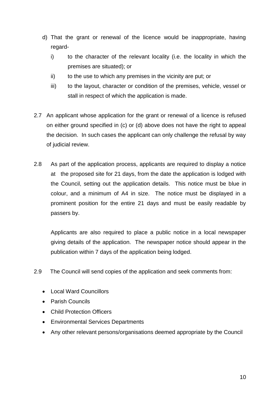- d) That the grant or renewal of the licence would be inappropriate, having regard
	- i) to the character of the relevant locality (i.e. the locality in which the premises are situated); or
	- ii) to the use to which any premises in the vicinity are put; or
	- iii) to the layout, character or condition of the premises, vehicle, vessel or stall in respect of which the application is made.
- 2.7 An applicant whose application for the grant or renewal of a licence is refused on either ground specified in (c) or (d) above does not have the right to appeal the decision. In such cases the applicant can only challenge the refusal by way of judicial review.
- 2.8 As part of the application process, applicants are required to display a notice at the proposed site for 21 days, from the date the application is lodged with the Council, setting out the application details. This notice must be blue in colour, and a minimum of A4 in size. The notice must be displayed in a prominent position for the entire 21 days and must be easily readable by passers by.

Applicants are also required to place a public notice in a local newspaper giving details of the application. The newspaper notice should appear in the publication within 7 days of the application being lodged.

- 2.9 The Council will send copies of the application and seek comments from:
	- Local Ward Councillors
	- Parish Councils
	- Child Protection Officers
	- Environmental Services Departments
	- Any other relevant persons/organisations deemed appropriate by the Council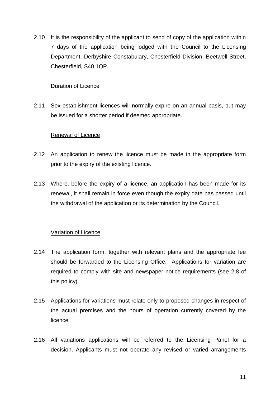2.10 It is the responsibility of the applicant to send of copy of the application within 7 days of the application being lodged with the Council to the Licensing Department, Derbyshire Constabulary, Chesterfield Division, Beetwell Street, Chesterfield, S40 1QP.

### Duration of Licence

2.11 Sex establishment licences will normally expire on an annual basis, but may be issued for a shorter period if deemed appropriate.

### Renewal of Licence

- 2.12 An application to renew the licence must be made in the appropriate form prior to the expiry of the existing licence.
- 2.13 Where, before the expiry of a licence, an application has been made for its renewal, it shall remain in force even though the expiry date has passed until the withdrawal of the application or its determination by the Council.

# Variation of Licence

- 2.14 The application form, together with relevant plans and the appropriate fee should be forwarded to the Licensing Office. Applications for variation are required to comply with site and newspaper notice requirements (see 2.8 of this policy).
- 2.15 Applications for variations must relate only to proposed changes in respect of the actual premises and the hours of operation currently covered by the licence.
- 2.16 All variations applications will be referred to the Licensing Panel for a decision. Applicants must not operate any revised or varied arrangements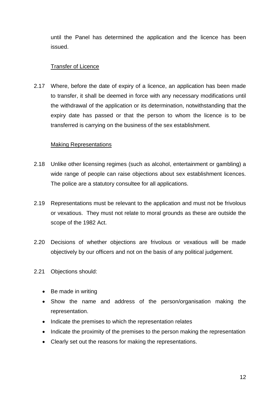until the Panel has determined the application and the licence has been issued.

### Transfer of Licence

2.17 Where, before the date of expiry of a licence, an application has been made to transfer, it shall be deemed in force with any necessary modifications until the withdrawal of the application or its determination, notwithstanding that the expiry date has passed or that the person to whom the licence is to be transferred is carrying on the business of the sex establishment.

### Making Representations

- 2.18 Unlike other licensing regimes (such as alcohol, entertainment or gambling) a wide range of people can raise objections about sex establishment licences. The police are a statutory consultee for all applications.
- 2.19 Representations must be relevant to the application and must not be frivolous or vexatious. They must not relate to moral grounds as these are outside the scope of the 1982 Act.
- 2.20 Decisions of whether objections are frivolous or vexatious will be made objectively by our officers and not on the basis of any political judgement.
- 2.21 Objections should:
	- Be made in writing
	- Show the name and address of the person/organisation making the representation.
	- Indicate the premises to which the representation relates
	- Indicate the proximity of the premises to the person making the representation
	- Clearly set out the reasons for making the representations.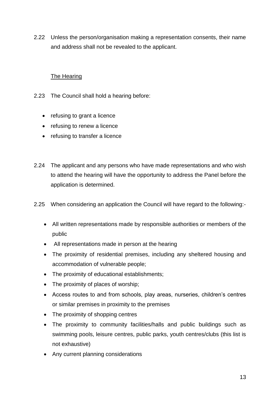2.22 Unless the person/organisation making a representation consents, their name and address shall not be revealed to the applicant.

# The Hearing

- 2.23 The Council shall hold a hearing before:
	- refusing to grant a licence
	- refusing to renew a licence
	- refusing to transfer a licence
- 2.24 The applicant and any persons who have made representations and who wish to attend the hearing will have the opportunity to address the Panel before the application is determined.
- 2.25 When considering an application the Council will have regard to the following:-
	- All written representations made by responsible authorities or members of the public
	- All representations made in person at the hearing
	- The proximity of residential premises, including any sheltered housing and accommodation of vulnerable people;
	- The proximity of educational establishments;
	- The proximity of places of worship;
	- Access routes to and from schools, play areas, nurseries, children's centres or similar premises in proximity to the premises
	- The proximity of shopping centres
	- The proximity to community facilities/halls and public buildings such as swimming pools, leisure centres, public parks, youth centres/clubs (this list is not exhaustive)
	- Any current planning considerations